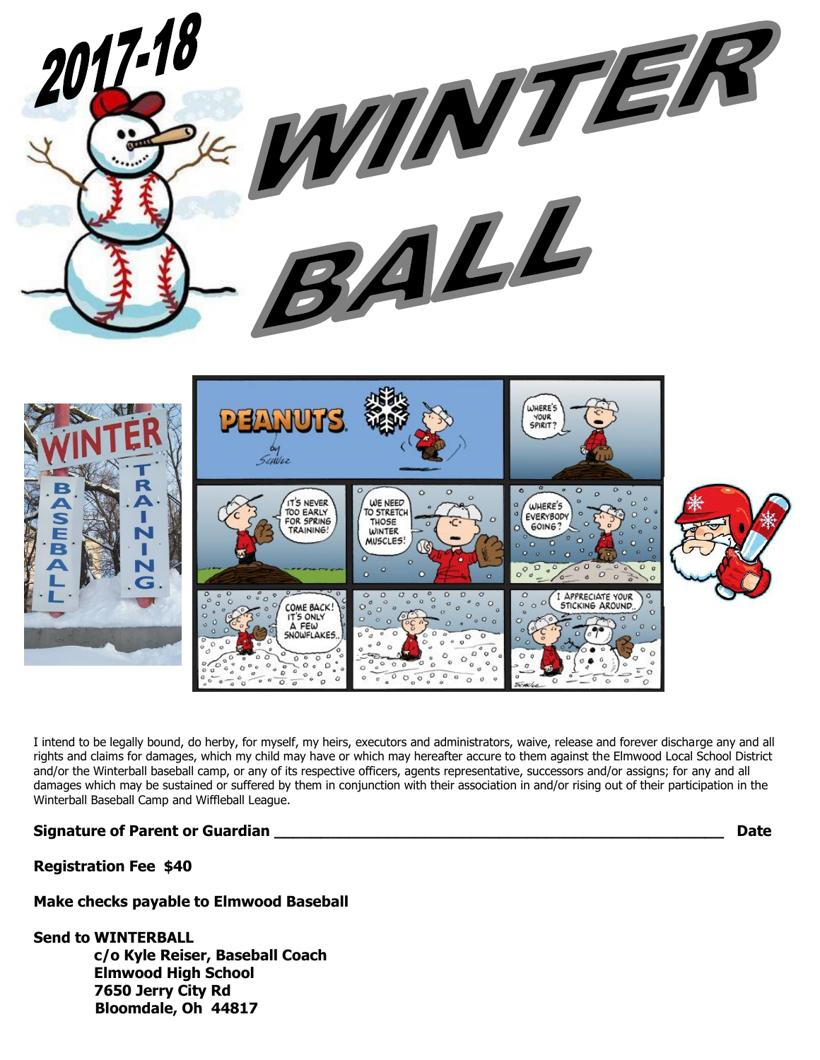

I intend to be legally bound, do herby, for myself, my heirs, executors and administrators, waive, release and forever discharge any and all rights and claims for damages, which my child may have or which may hereafter accure to them against the Elmwood Local School District and/or the Winterball baseball camp, or any of its respective officers, agents representative, successors and/or assigns; for any and all damages which may be sustained or suffered by them in conjunction with their association in and/or rising out of their participation in the Winterball Baseball Camp and Wiffleball League.

## **Signature of Parent or Guardian \_\_\_\_\_\_\_\_\_\_\_\_\_\_\_\_\_\_\_\_\_\_\_\_\_\_\_\_\_\_\_\_\_\_\_\_\_\_\_\_\_\_\_\_\_\_\_\_ Date**

## **Registration Fee \$40**

## **Make checks payable to Elmwood Baseball**

## **Send to WINTERBALL**

 **c/o Kyle Reiser, Baseball Coach Elmwood High School 7650 Jerry City Rd Bloomdale, Oh 44817**